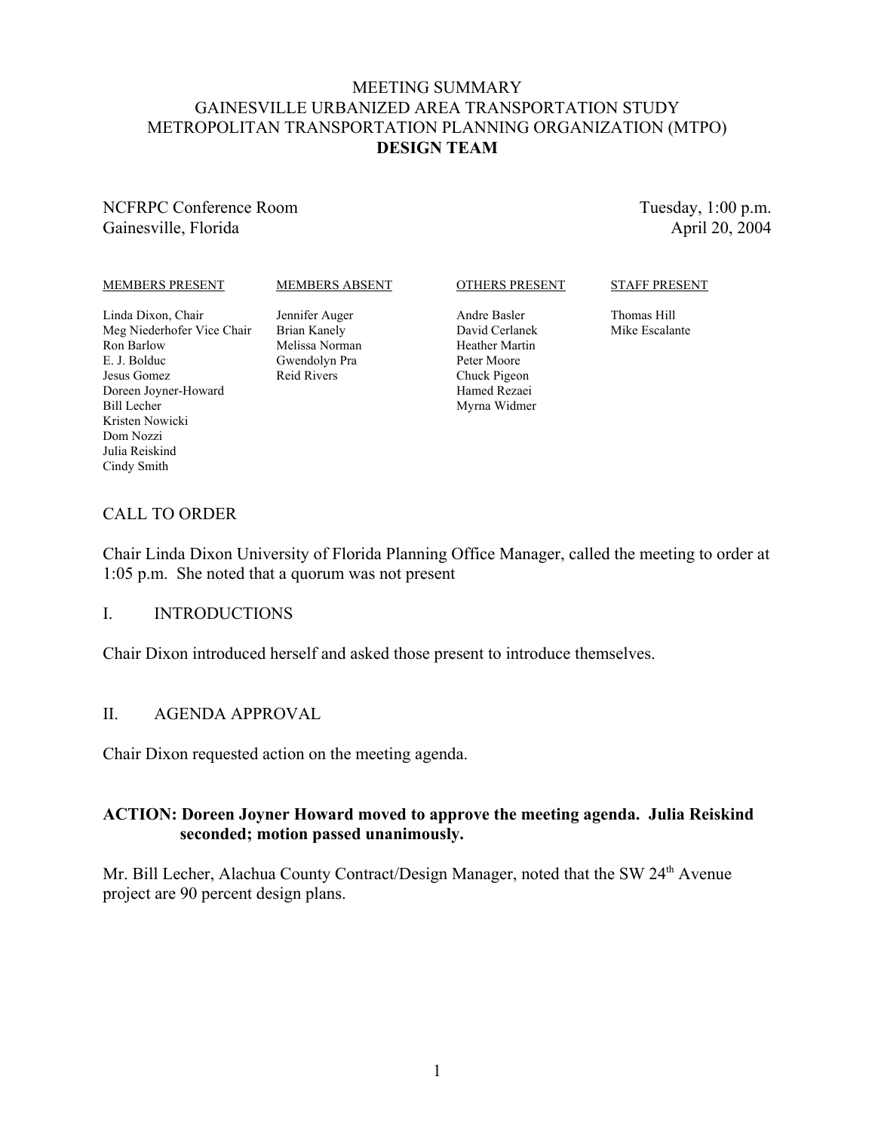#### MEETING SUMMARY GAINESVILLE URBANIZED AREA TRANSPORTATION STUDY METROPOLITAN TRANSPORTATION PLANNING ORGANIZATION (MTPO) **DESIGN TEAM**

#### NCFRPC Conference Room Gainesville, Florida

Tuesday, 1:00 p.m. April 20, 2004

#### MEMBERS PRESENT

#### MEMBERS ABSENT

#### OTHERS PRESENT

#### STAFF PRESENT

Linda Dixon, Chair Meg Niederhofer Vice Chair Ron Barlow E. J. Bolduc Jesus Gomez Doreen Joyner-Howard Bill Lecher Kristen Nowicki Dom Nozzi Julia Reiskind Cindy Smith

Jennifer Auger Brian Kanely Melissa Norman Gwendolyn Pra Reid Rivers

Andre Basler David Cerlanek Heather Martin Peter Moore Chuck Pigeon Hamed Rezaei Myrna Widmer

Thomas Hill Mike Escalante

#### CALL TO ORDER

Chair Linda Dixon University of Florida Planning Office Manager, called the meeting to order at 1:05 p.m. She noted that a quorum was not present

#### I. INTRODUCTIONS

Chair Dixon introduced herself and asked those present to introduce themselves.

#### II. AGENDA APPROVAL

Chair Dixon requested action on the meeting agenda.

#### **ACTION: Doreen Joyner Howard moved to approve the meeting agenda. Julia Reiskind seconded; motion passed unanimously.**

Mr. Bill Lecher, Alachua County Contract/Design Manager, noted that the SW 24<sup>th</sup> Avenue project are 90 percent design plans.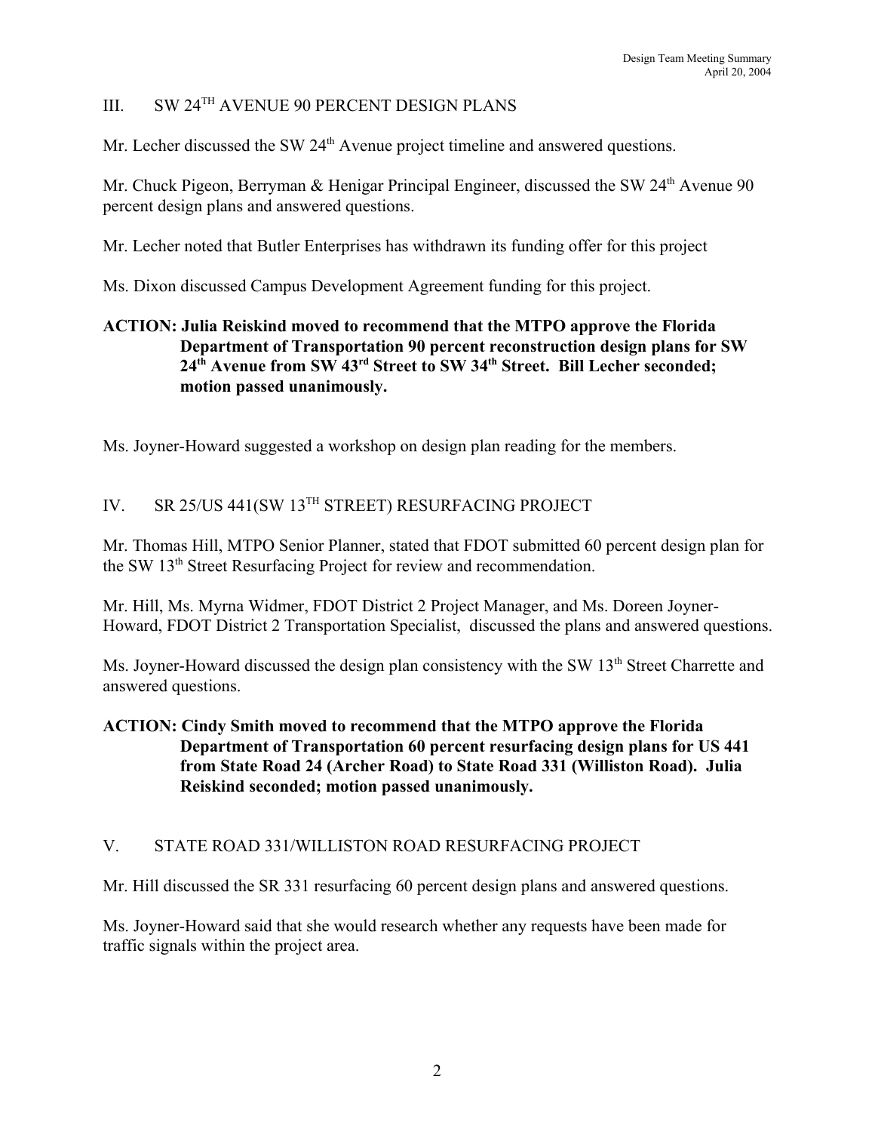## III. SW 24TH AVENUE 90 PERCENT DESIGN PLANS

Mr. Lecher discussed the SW  $24<sup>th</sup>$  Avenue project timeline and answered questions.

Mr. Chuck Pigeon, Berryman & Henigar Principal Engineer, discussed the SW 24<sup>th</sup> Avenue 90 percent design plans and answered questions.

Mr. Lecher noted that Butler Enterprises has withdrawn its funding offer for this project

Ms. Dixon discussed Campus Development Agreement funding for this project.

## **ACTION: Julia Reiskind moved to recommend that the MTPO approve the Florida Department of Transportation 90 percent reconstruction design plans for SW 24th Avenue from SW 43rd Street to SW 34th Street. Bill Lecher seconded; motion passed unanimously.**

Ms. Joyner-Howard suggested a workshop on design plan reading for the members.

# IV. SR 25/US 441(SW 13TH STREET) RESURFACING PROJECT

Mr. Thomas Hill, MTPO Senior Planner, stated that FDOT submitted 60 percent design plan for the SW 13th Street Resurfacing Project for review and recommendation.

Mr. Hill, Ms. Myrna Widmer, FDOT District 2 Project Manager, and Ms. Doreen Joyner-Howard, FDOT District 2 Transportation Specialist, discussed the plans and answered questions.

Ms. Joyner-Howard discussed the design plan consistency with the SW 13<sup>th</sup> Street Charrette and answered questions.

### **ACTION: Cindy Smith moved to recommend that the MTPO approve the Florida Department of Transportation 60 percent resurfacing design plans for US 441 from State Road 24 (Archer Road) to State Road 331 (Williston Road). Julia Reiskind seconded; motion passed unanimously.**

#### V. STATE ROAD 331/WILLISTON ROAD RESURFACING PROJECT

Mr. Hill discussed the SR 331 resurfacing 60 percent design plans and answered questions.

Ms. Joyner-Howard said that she would research whether any requests have been made for traffic signals within the project area.